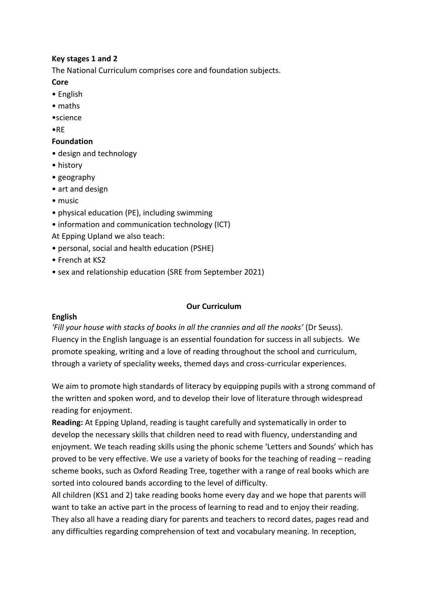# **Key stages 1 and 2**

The National Curriculum comprises core and foundation subjects.

# **Core**

- English
- maths
- •science

•RE

# **Foundation**

- design and technology
- history
- geography
- art and design
- music
- physical education (PE), including swimming
- information and communication technology (ICT)
- At Epping Upland we also teach:
- personal, social and health education (PSHE)
- French at KS2
- sex and relationship education (SRE from September 2021)

# **Our Curriculum**

# **English**

*'Fill your house with stacks of books in all the crannies and all the nooks'* (Dr Seuss). Fluency in the English language is an essential foundation for success in all subjects. We promote speaking, writing and a love of reading throughout the school and curriculum, through a variety of speciality weeks, themed days and cross-curricular experiences.

We aim to promote high standards of literacy by equipping pupils with a strong command of the written and spoken word, and to develop their love of literature through widespread reading for enjoyment.

**Reading:** At Epping Upland, reading is taught carefully and systematically in order to develop the necessary skills that children need to read with fluency, understanding and enjoyment. We teach reading skills using the phonic scheme 'Letters and Sounds' which has proved to be very effective. We use a variety of books for the teaching of reading – reading scheme books, such as Oxford Reading Tree, together with a range of real books which are sorted into coloured bands according to the level of difficulty.

All children (KS1 and 2) take reading books home every day and we hope that parents will want to take an active part in the process of learning to read and to enjoy their reading. They also all have a reading diary for parents and teachers to record dates, pages read and any difficulties regarding comprehension of text and vocabulary meaning. In reception,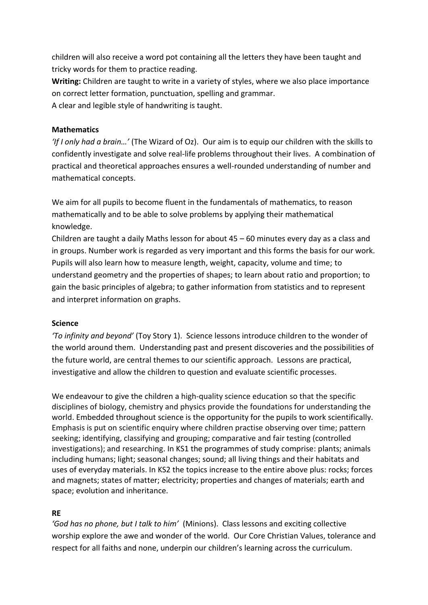children will also receive a word pot containing all the letters they have been taught and tricky words for them to practice reading.

**Writing:** Children are taught to write in a variety of styles, where we also place importance on correct letter formation, punctuation, spelling and grammar.

A clear and legible style of handwriting is taught.

# **Mathematics**

*'If I only had a brain…'* (The Wizard of Oz). Our aim is to equip our children with the skills to confidently investigate and solve real-life problems throughout their lives. A combination of practical and theoretical approaches ensures a well-rounded understanding of number and mathematical concepts.

We aim for all pupils to become fluent in the fundamentals of mathematics, to reason mathematically and to be able to solve problems by applying their mathematical knowledge.

Children are taught a daily Maths lesson for about 45 – 60 minutes every day as a class and in groups. Number work is regarded as very important and this forms the basis for our work. Pupils will also learn how to measure length, weight, capacity, volume and time; to understand geometry and the properties of shapes; to learn about ratio and proportion; to gain the basic principles of algebra; to gather information from statistics and to represent and interpret information on graphs.

# **Science**

*'To infinity and beyond'* (Toy Story 1). Science lessons introduce children to the wonder of the world around them. Understanding past and present discoveries and the possibilities of the future world, are central themes to our scientific approach. Lessons are practical, investigative and allow the children to question and evaluate scientific processes.

We endeavour to give the children a high-quality science education so that the specific disciplines of biology, chemistry and physics provide the foundations for understanding the world. Embedded throughout science is the opportunity for the pupils to work scientifically. Emphasis is put on scientific enquiry where children practise observing over time; pattern seeking; identifying, classifying and grouping; comparative and fair testing (controlled investigations); and researching. In KS1 the programmes of study comprise: plants; animals including humans; light; seasonal changes; sound; all living things and their habitats and uses of everyday materials. In KS2 the topics increase to the entire above plus: rocks; forces and magnets; states of matter; electricity; properties and changes of materials; earth and space; evolution and inheritance.

# **RE**

*'God has no phone, but I talk to him'* (Minions). Class lessons and exciting collective worship explore the awe and wonder of the world. Our Core Christian Values, tolerance and respect for all faiths and none, underpin our children's learning across the curriculum.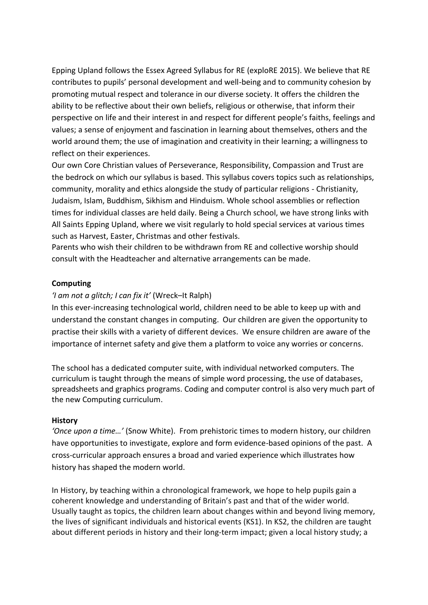Epping Upland follows the Essex Agreed Syllabus for RE (exploRE 2015). We believe that RE contributes to pupils' personal development and well-being and to community cohesion by promoting mutual respect and tolerance in our diverse society. It offers the children the ability to be reflective about their own beliefs, religious or otherwise, that inform their perspective on life and their interest in and respect for different people's faiths, feelings and values; a sense of enjoyment and fascination in learning about themselves, others and the world around them; the use of imagination and creativity in their learning; a willingness to reflect on their experiences.

Our own Core Christian values of Perseverance, Responsibility, Compassion and Trust are the bedrock on which our syllabus is based. This syllabus covers topics such as relationships, community, morality and ethics alongside the study of particular religions - Christianity, Judaism, Islam, Buddhism, Sikhism and Hinduism. Whole school assemblies or reflection times for individual classes are held daily. Being a Church school, we have strong links with All Saints Epping Upland, where we visit regularly to hold special services at various times such as Harvest, Easter, Christmas and other festivals.

Parents who wish their children to be withdrawn from RE and collective worship should consult with the Headteacher and alternative arrangements can be made.

### **Computing**

### *'I am not a glitch; I can fix it'* (Wreck–It Ralph)

In this ever-increasing technological world, children need to be able to keep up with and understand the constant changes in computing. Our children are given the opportunity to practise their skills with a variety of different devices. We ensure children are aware of the importance of internet safety and give them a platform to voice any worries or concerns.

The school has a dedicated computer suite, with individual networked computers. The curriculum is taught through the means of simple word processing, the use of databases, spreadsheets and graphics programs. Coding and computer control is also very much part of the new Computing curriculum.

#### **History**

*'Once upon a time…'* (Snow White). From prehistoric times to modern history, our children have opportunities to investigate, explore and form evidence-based opinions of the past. A cross-curricular approach ensures a broad and varied experience which illustrates how history has shaped the modern world.

In History, by teaching within a chronological framework, we hope to help pupils gain a coherent knowledge and understanding of Britain's past and that of the wider world. Usually taught as topics, the children learn about changes within and beyond living memory, the lives of significant individuals and historical events (KS1). In KS2, the children are taught about different periods in history and their long-term impact; given a local history study; a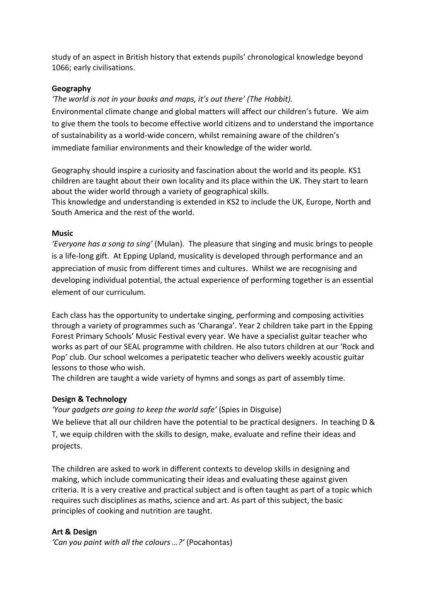study of an aspect in British history that extends pupils' chronological knowledge beyond 1066; early civilisations.

# **Geography**

*'The world is not in your books and maps, it's out there' (The Hobbit).*

Environmental climate change and global matters will affect our children's future. We aim to give them the tools to become effective world citizens and to understand the importance of sustainability as a world-wide concern, whilst remaining aware of the children's immediate familiar environments and their knowledge of the wider world.

Geography should inspire a curiosity and fascination about the world and its people. KS1 children are taught about their own locality and its place within the UK. They start to learn about the wider world through a variety of geographical skills.

This knowledge and understanding is extended in KS2 to include the UK, Europe, North and South America and the rest of the world.

### **Music**

*'Everyone has a song to sing'* (Mulan). The pleasure that singing and music brings to people is a life-long gift. At Epping Upland, musicality is developed through performance and an appreciation of music from different times and cultures. Whilst we are recognising and developing individual potential, the actual experience of performing together is an essential element of our curriculum.

Each class has the opportunity to undertake singing, performing and composing activities through a variety of programmes such as 'Charanga'. Year 2 children take part in the Epping Forest Primary Schools' Music Festival every year. We have a specialist guitar teacher who works as part of our SEAL programme with children. He also tutors children at our 'Rock and Pop' club. Our school welcomes a peripatetic teacher who delivers weekly acoustic guitar lessons to those who wish.

The children are taught a wide variety of hymns and songs as part of assembly time.

# **Design & Technology**

*'Your gadgets are going to keep the world safe'* (Spies in Disguise) We believe that all our children have the potential to be practical designers. In teaching D & T, we equip children with the skills to design, make, evaluate and refine their ideas and projects.

The children are asked to work in different contexts to develop skills in designing and making, which include communicating their ideas and evaluating these against given criteria. It is a very creative and practical subject and is often taught as part of a topic which requires such disciplines as maths, science and art. As part of this subject, the basic principles of cooking and nutrition are taught.

# **Art & Design**

*'Can you paint with all the colours …?'* (Pocahontas)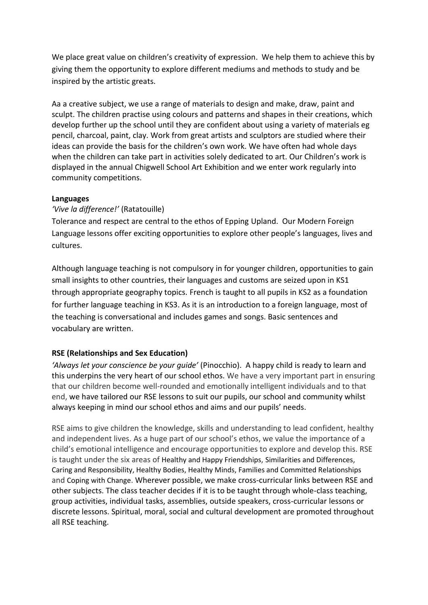We place great value on children's creativity of expression. We help them to achieve this by giving them the opportunity to explore different mediums and methods to study and be inspired by the artistic greats.

Aa a creative subject, we use a range of materials to design and make, draw, paint and sculpt. The children practise using colours and patterns and shapes in their creations, which develop further up the school until they are confident about using a variety of materials eg pencil, charcoal, paint, clay. Work from great artists and sculptors are studied where their ideas can provide the basis for the children's own work. We have often had whole days when the children can take part in activities solely dedicated to art. Our Children's work is displayed in the annual Chigwell School Art Exhibition and we enter work regularly into community competitions.

# **Languages**

# *'Vive la difference!'* (Ratatouille)

Tolerance and respect are central to the ethos of Epping Upland. Our Modern Foreign Language lessons offer exciting opportunities to explore other people's languages, lives and cultures.

Although language teaching is not compulsory in for younger children, opportunities to gain small insights to other countries, their languages and customs are seized upon in KS1 through appropriate geography topics. French is taught to all pupils in KS2 as a foundation for further language teaching in KS3. As it is an introduction to a foreign language, most of the teaching is conversational and includes games and songs. Basic sentences and vocabulary are written.

# **RSE (Relationships and Sex Education)**

*'Always let your conscience be your guide'* (Pinocchio). A happy child is ready to learn and this underpins the very heart of our school ethos. We have a very important part in ensuring that our children become well-rounded and emotionally intelligent individuals and to that end, we have tailored our RSE lessons to suit our pupils, our school and community whilst always keeping in mind our school ethos and aims and our pupils' needs.

RSE aims to give children the knowledge, skills and understanding to lead confident, healthy and independent lives. As a huge part of our school's ethos, we value the importance of a child's emotional intelligence and encourage opportunities to explore and develop this. RSE is taught under the six areas of Healthy and Happy Friendships, Similarities and Differences, Caring and Responsibility, Healthy Bodies, Healthy Minds, Families and Committed Relationships and Coping with Change. Wherever possible, we make cross-curricular links between RSE and other subjects. The class teacher decides if it is to be taught through whole-class teaching, group activities, individual tasks, assemblies, outside speakers, cross-curricular lessons or discrete lessons. Spiritual, moral, social and cultural development are promoted throughout all RSE teaching.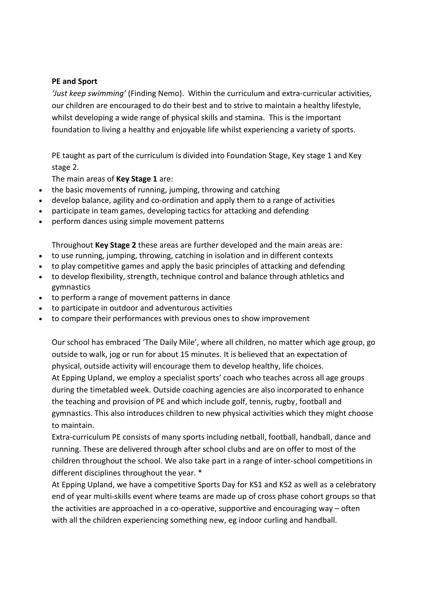### **PE and Sport**

*'Just keep swimming'* (Finding Nemo). Within the curriculum and extra-curricular activities, our children are encouraged to do their best and to strive to maintain a healthy lifestyle, whilst developing a wide range of physical skills and stamina. This is the important foundation to living a healthy and enjoyable life whilst experiencing a variety of sports.

PE taught as part of the curriculum is divided into Foundation Stage, Key stage 1 and Key stage 2.

The main areas of **Key Stage 1** are:

- the basic movements of running, jumping, throwing and catching
- develop balance, agility and co-ordination and apply them to a range of activities
- participate in team games, developing tactics for attacking and defending
- perform dances using simple movement patterns

Throughout **Key Stage 2** these areas are further developed and the main areas are:

- to use running, jumping, throwing, catching in isolation and in different contexts
- to play competitive games and apply the basic principles of attacking and defending
- to develop flexibility, strength, technique control and balance through athletics and gymnastics
- to perform a range of movement patterns in dance
- to participate in outdoor and adventurous activities
- to compare their performances with previous ones to show improvement

Our school has embraced 'The Daily Mile', where all children, no matter which age group, go outside to walk, jog or run for about 15 minutes. It is believed that an expectation of physical, outside activity will encourage them to develop healthy, life choices. At Epping Upland, we employ a specialist sports' coach who teaches across all age groups during the timetabled week. Outside coaching agencies are also incorporated to enhance the teaching and provision of PE and which include golf, tennis, rugby, football and gymnastics. This also introduces children to new physical activities which they might choose to maintain.

Extra-curriculum PE consists of many sports including netball, football, handball, dance and running. These are delivered through after school clubs and are on offer to most of the children throughout the school. We also take part in a range of inter-school competitions in different disciplines throughout the year. \*

At Epping Upland, we have a competitive Sports Day for KS1 and KS2 as well as a celebratory end of year multi-skills event where teams are made up of cross phase cohort groups so that the activities are approached in a co-operative, supportive and encouraging way – often with all the children experiencing something new, eg indoor curling and handball.